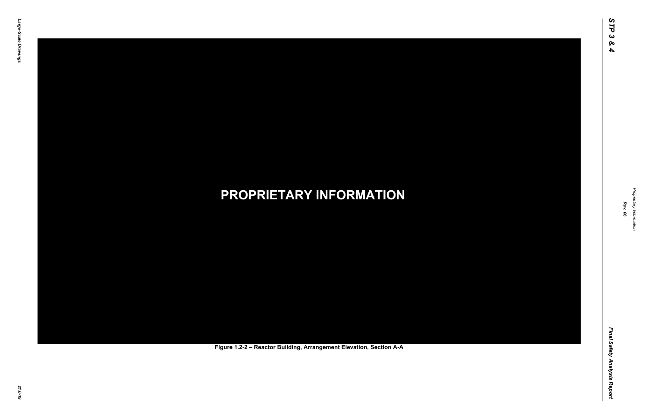Final Safety Analysis Report *Final Safety Analysis Report*



Proprietary Information *Proprietary Information*

### *21.0-19* **PROPRIETARY INFORMATION Figure 1.2-2 – Reactor Building, Arrangement Elevation, Section A-A**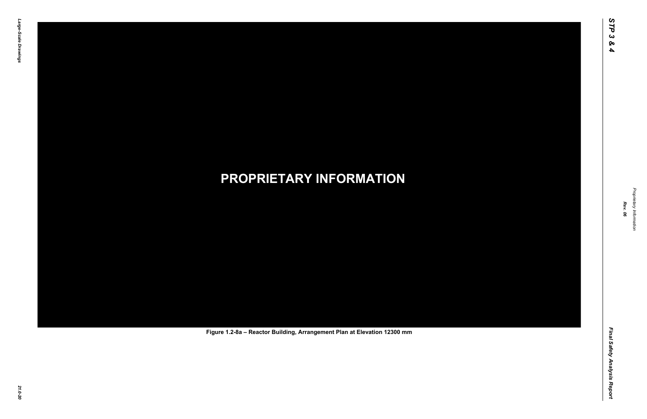Final Safety Analysis Report *Final Safety Analysis Report*

Proprietary Information *Proprietary Information*

# *21.0-20* **PROPRIETARY INFORMATION Figure 1.2-8a – Reactor Building, Arrangement Plan at Elevation 12300 mm**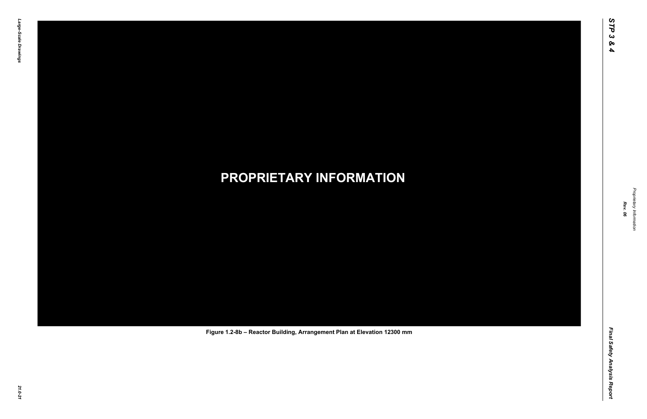Final Safety Analysis Report *Final Safety Analysis Report*



Proprietary Information *Proprietary Information*

# *21.0-21* **PROPRIETARY INFORMATION Figure 1.2-8b – Reactor Building, Arrangement Plan at Elevation 12300 mm**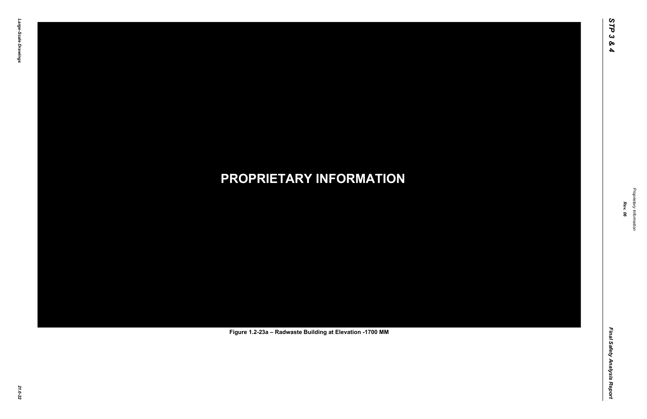Final Safety Analysis Report *Final Safety Analysis Report*

Proprietary Information *Proprietary Information*

# *21.0-22* **PROPRIETARY INFORMATION Figure 1.2-23a – Radwaste Building at Elevation -1700 MM**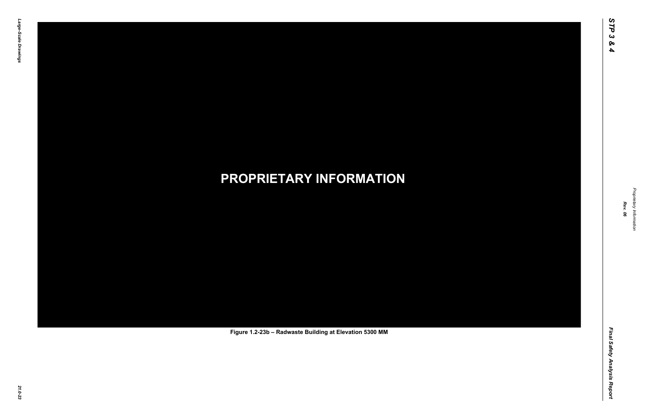Final Safety Analysis Report *Final Safety Analysis Report*

Proprietary Information *Proprietary Information*

# *21.0-23* **PROPRIETARY INFORMATION Figure 1.2-23b – Radwaste Building at Elevation 5300 MM**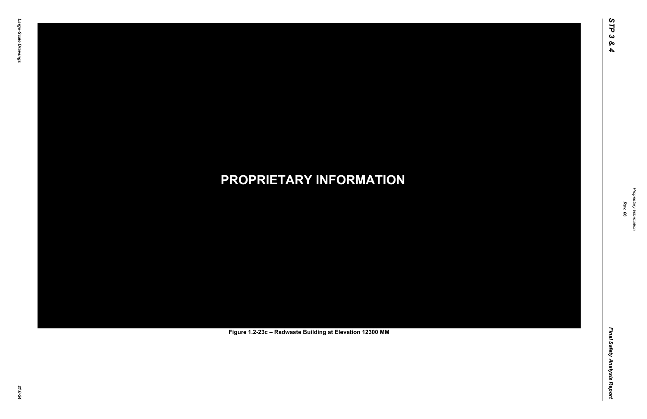Final Safety Analysis Report *Final Safety Analysis Report*



Proprietary Information *Proprietary Information*

# *21.0-24* **PROPRIETARY INFORMATION Figure 1.2-23c – Radwaste Building at Elevation 12300 MM**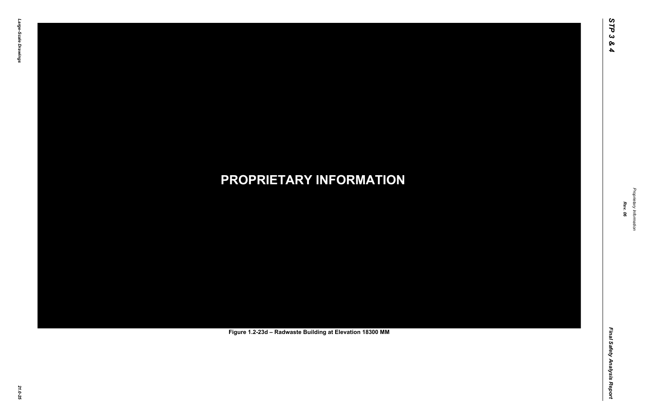Final Safety Analysis Report *Final Safety Analysis Report*



Proprietary Information *Proprietary Information*

# *21.0-25* **PROPRIETARY INFORMATION Figure 1.2-23d – Radwaste Building at Elevation 18300 MM**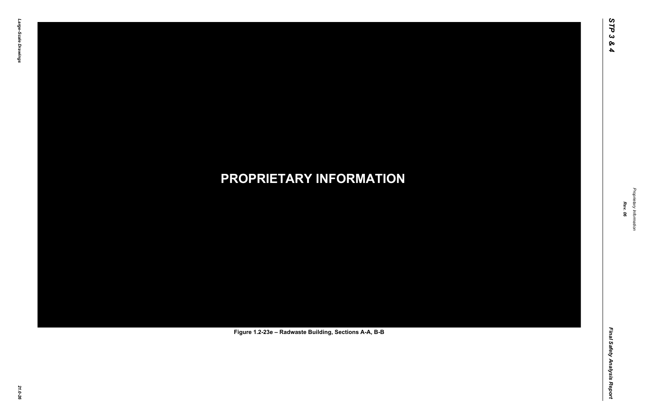Final Safety Analysis Report *Final Safety Analysis Report*

Proprietary Information *Proprietary Information*

# *21.0-26* **PROPRIETARY INFORMATION Figure 1.2-23e – Radwaste Building, Sections A-A, B-B**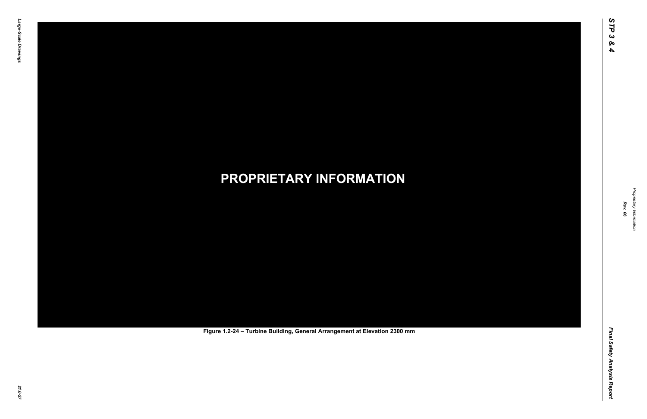Final Safety Analysis Report *Final Safety Analysis Report*

Proprietary Information *Proprietary Information*

# *21.0-27* **PROPRIETARY INFORMATION Figure 1.2-24 – Turbine Building, General Arrangement at Elevation 2300 mm**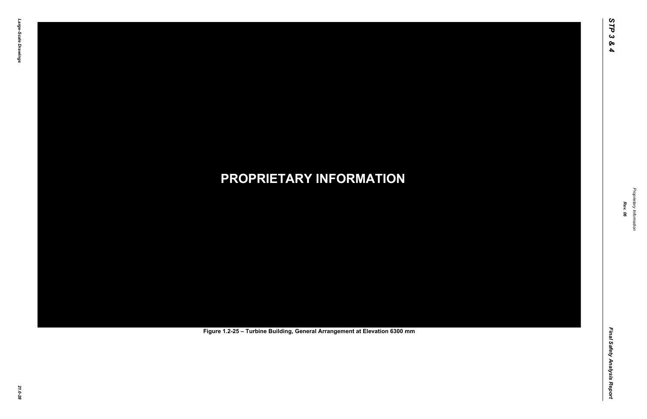Final Safety Analysis Report *Final Safety Analysis Report*

Proprietary Information *Proprietary Information*

# *21.0-28* **PROPRIETARY INFORMATION Figure 1.2-25 – Turbine Building, General Arrangement at Elevation 6300 mm**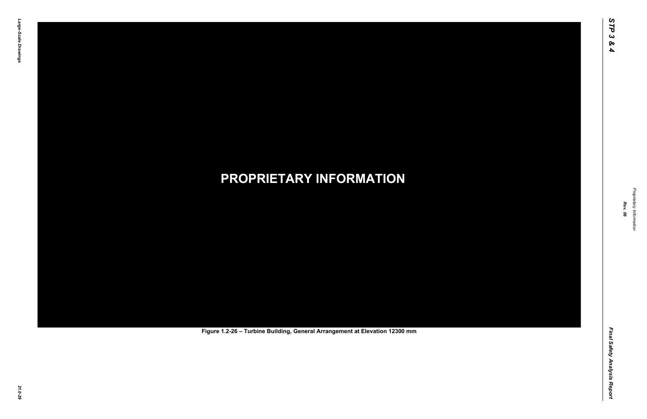Final Safety Analysis Report *Final Safety Analysis Report*

Proprietary Information *Proprietary Information*

# *21.0-29* **PROPRIETARY INFORMATION Figure 1.2-26 – Turbine Building, General Arrangement at Elevation 12300 mm**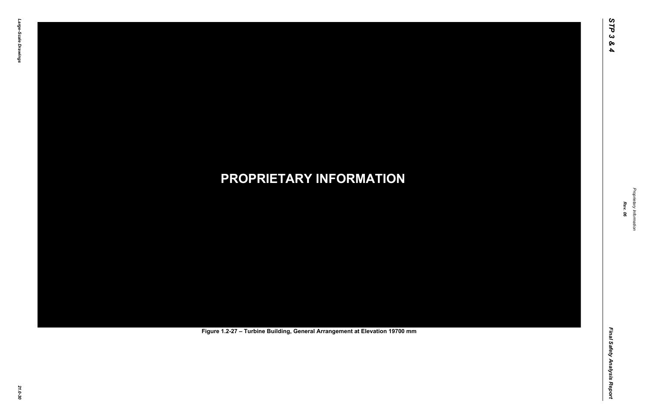Final Safety Analysis Report *Final Safety Analysis Report*

Proprietary Information *Proprietary Information*

# *21.0-30* **PROPRIETARY INFORMATION Figure 1.2-27 – Turbine Building, General Arrangement at Elevation 19700 mm**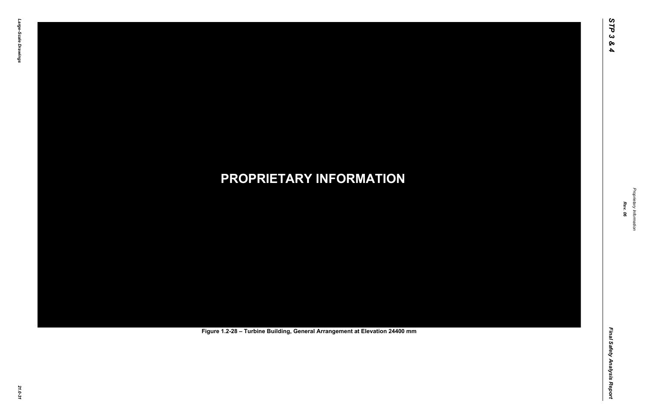Final Safety Analysis Report *Final Safety Analysis Report*

Proprietary Information *Proprietary Information*

# *21.0-31* **PROPRIETARY INFORMATION Figure 1.2-28 – Turbine Building, General Arrangement at Elevation 24400 mm**